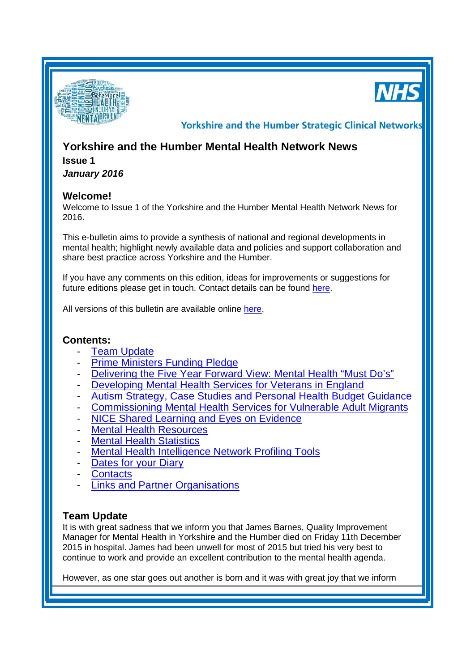

**Yorkshire and the Humber Strategic Clinical Networks** 

# **Yorkshire and the Humber Mental Health Network News**

### **Issue 1**

*January 2016*

#### **Welcome!**

Welcome to Issue 1 of the Yorkshire and the Humber Mental Health Network News for 2016.

This e-bulletin aims to provide a synthesis of national and regional developments in mental health; highlight newly available data and policies and support collaboration and share best practice across Yorkshire and the Humber.

If you have any comments on this edition, ideas for improvements or suggestions for future editions please get in touch. Contact details can be found [here.](#page-4-0)

All versions of this bulletin are available online [here.](http://www.yhscn.nhs.uk/mental-health-clinic/mental-health-network/MH-documents-and-links.php)

## **Contents:**

- **[Team](#page-0-0) Update**
- **[Prime Ministers Funding Pledge](#page-1-0)**
- [Delivering the Five Year Forward View: Mental Health "Must Do's"](#page-1-1)
- [Developing Mental Health Services for Veterans in England](#page-1-2)
- [Autism Strategy, Case Studies and Personal Health Budget Guidance](#page-2-0)
- [Commissioning Mental Health Services for Vulnerable Adult Migrants](#page-2-1)
- [NICE Shared Learning and Eyes on Evidence](#page-2-2)
- **[Mental Health Resources](#page-2-3)**
- **[Mental Health Statistics](#page-3-0)**
- [Mental Health Intelligence Network Profiling Tools](#page-3-1)
- [Dates for your](#page-0-1) Diary
- **[Contacts](#page-4-0)**
- [Links and Partner Organisations](#page-4-1)

## <span id="page-0-1"></span><span id="page-0-0"></span>**Team Update**

It is with great sadness that we inform you that James Barnes, Quality Improvement Manager for Mental Health in Yorkshire and the Humber died on Friday 11th December 2015 in hospital. James had been unwell for most of 2015 but tried his very best to continue to work and provide an excellent contribution to the mental health agenda.

However, as one star goes out another is born and it was with great joy that we inform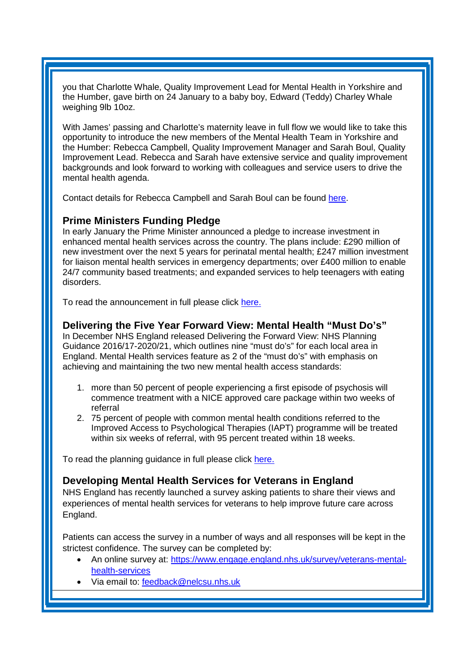you that Charlotte Whale, Quality Improvement Lead for Mental Health in Yorkshire and the Humber, gave birth on 24 January to a baby boy, Edward (Teddy) Charley Whale weighing 9lb 10oz.

With James' passing and Charlotte's maternity leave in full flow we would like to take this opportunity to introduce the new members of the Mental Health Team in Yorkshire and the Humber: Rebecca Campbell, Quality Improvement Manager and Sarah Boul, Quality Improvement Lead. Rebecca and Sarah have extensive service and quality improvement backgrounds and look forward to working with colleagues and service users to drive the mental health agenda.

Contact details for Rebecca Campbell and Sarah Boul can be found [here.](#page-4-0)

#### <span id="page-1-0"></span>**Prime Ministers Funding Pledge**

In early January the Prime Minister announced a [pledge to increase investment in](https://www.gov.uk/government/news/prime-minister-pledges-a-revolution-in-mental-health-treatment)  [enhanced mental health services](https://www.gov.uk/government/news/prime-minister-pledges-a-revolution-in-mental-health-treatment) across the country. The plans include: £290 million of new investment over the next 5 years for perinatal mental health; £247 million investment for liaison mental health services in emergency departments; over £400 million to enable 24/7 community based treatments; and expanded services to help teenagers with eating disorders.

To read the announcement in full please click [here.](https://www.gov.uk/government/news/prime-minister-pledges-a-revolution-in-mental-health-treatment)

#### <span id="page-1-1"></span>**Delivering the Five Year Forward View: Mental Health "Must Do's"**

In December NHS England released Delivering the Forward View: NHS Planning Guidance 2016/17-2020/21, which outlines nine "must do's" for each local area in England. Mental Health services feature as 2 of the "must do's" with emphasis on achieving and maintaining the two new mental health access standards:

- 1. more than 50 percent of people experiencing a first episode of psychosis will commence treatment with a NICE approved care package within two weeks of referral
- 2. 75 percent of people with common mental health conditions referred to the Improved Access to Psychological Therapies (IAPT) programme will be treated within six weeks of referral, with 95 percent treated within 18 weeks.

To read the planning guidance in full please click [here.](https://www.england.nhs.uk/wp-content/uploads/2015/12/planning-guid-16-17-20-21.pdf)

## <span id="page-1-2"></span>**Developing Mental Health Services for Veterans in England**

NHS England has recently launched a survey asking patients to share their views and experiences of mental health services for veterans to help improve future care across England.

Patients can access the survey in a number of ways and all responses will be kept in the strictest confidence. The survey can be completed by:

- An online survey at: [https://www.engage.england.nhs.uk/survey/veterans-mental](https://www.engage.england.nhs.uk/survey/veterans-mental-health-services)[health-services](https://www.engage.england.nhs.uk/survey/veterans-mental-health-services)
- Via email to: [feedback@nelcsu.nhs.uk](mailto:feedback@nelcsu.nhs.uk)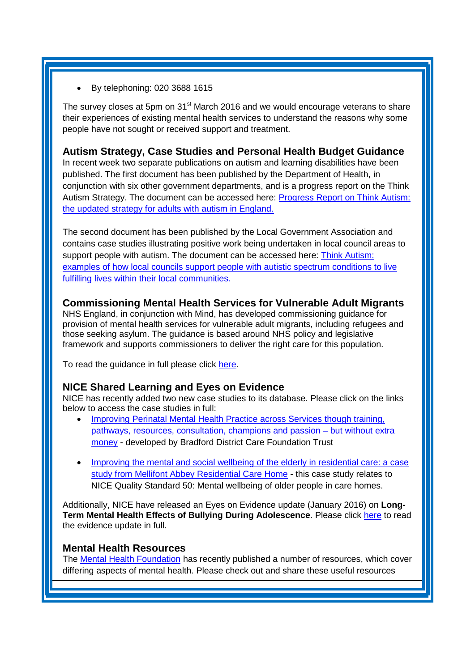• By telephoning: 020 3688 1615

The survey closes at 5pm on 31<sup>st</sup> March 2016 and we would encourage veterans to share their experiences of existing mental health services to understand the reasons why some people have not sought or received support and treatment.

## <span id="page-2-0"></span>**Autism Strategy, Case Studies and Personal Health Budget Guidance**

In recent week two separate publications on autism and learning disabilities have been published. The first document has been published by the Department of Health, in conjunction with six other government departments, and is a progress report on the Think Autism Strategy. The document can be accessed here: [Progress Report on Think Autism:](https://www.gov.uk/government/publications/progress-report-on-strategy-for-adults-with-autism)  [the updated strategy for adults with autism in England.](https://www.gov.uk/government/publications/progress-report-on-strategy-for-adults-with-autism)

The second document has been published by the Local Government Association and contains case studies illustrating positive work being undertaken in local council areas to support people with autism. The document can be accessed here: [Think Autism:](http://www.local.gov.uk/web/guest/publications/-/journal_content/56/10180/7643400/PUBLICATION)  [examples of how local councils support people with autistic spectrum conditions to live](http://www.local.gov.uk/web/guest/publications/-/journal_content/56/10180/7643400/PUBLICATION)  [fulfilling lives within their local communities.](http://www.local.gov.uk/web/guest/publications/-/journal_content/56/10180/7643400/PUBLICATION)

## <span id="page-2-1"></span>**Commissioning Mental Health Services for Vulnerable Adult Migrants**

NHS England, in conjunction with Mind, has developed commissioning guidance for provision of mental health services for vulnerable adult migrants, including refugees and those seeking asylum. The guidance is based around NHS policy and legislative framework and supports commissioners to deliver the right care for this population.

To read the guidance in full please click [here.](http://www.mind.org.uk/media/3168649/vulnerable-migrants_2015_mindweb.pdf)

## <span id="page-2-2"></span>**NICE Shared Learning and Eyes on Evidence**

NICE has recently added two new case studies to its database. Please click on the links below to access the case studies in full:

- [Improving Perinatal Mental Health Practice across Services though training,](http://www.nice.org.uk/sharedlearning/improving-perinatal-mental-health-practice-across-services-though-training-pathways-resources-consultation-champions-and-passion-%E2%80%93-but-without-extra-money)  [pathways, resources, consultation, champions and passion –](http://www.nice.org.uk/sharedlearning/improving-perinatal-mental-health-practice-across-services-though-training-pathways-resources-consultation-champions-and-passion-%E2%80%93-but-without-extra-money) but without extra [money](http://www.nice.org.uk/sharedlearning/improving-perinatal-mental-health-practice-across-services-though-training-pathways-resources-consultation-champions-and-passion-%E2%80%93-but-without-extra-money) - developed by Bradford District Care Foundation Trust
- [Improving the mental and social wellbeing of the elderly in residential care: a case](http://www.nice.org.uk/sharedlearning/advert-posted-online-in-search-for-musicians-willing-to-volunteer-to-play-with-talented-pianist-at-mellifont-abbey-residential-home)  [study from Mellifont Abbey Residential Care Home](http://www.nice.org.uk/sharedlearning/advert-posted-online-in-search-for-musicians-willing-to-volunteer-to-play-with-talented-pianist-at-mellifont-abbey-residential-home) - this case study relates to NICE Quality Standard 50: Mental wellbeing of older people in care homes.

Additionally, NICE have released an Eyes on Evidence update (January 2016) on **Long-Term Mental Health Effects of Bullying During Adolescence**. Please click [here](http://us8.campaign-archive2.com/?u=7864f766b10b8edd18f19aa56&id=f1b6458b1a#Bullying) to read the evidence update in full.

#### <span id="page-2-3"></span>**Mental Health Resources**

The [Mental Health Foundation](https://www.mentalhealth.org.uk/) has recently published a number of resources, which cover differing aspects of mental health. Please check out and share these useful resources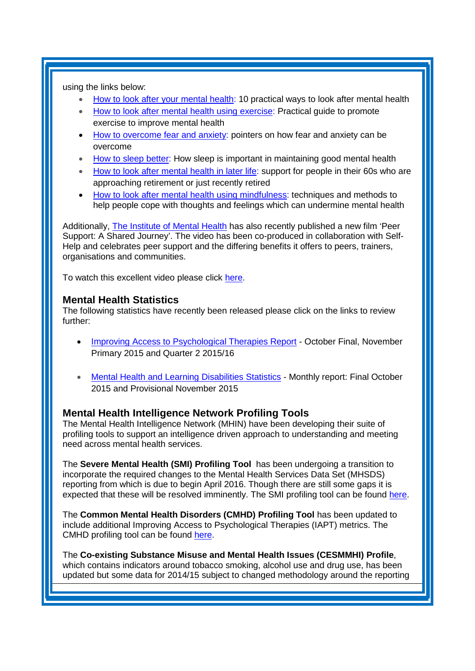using the links below:

- [How to look after your mental health:](http://www.mentalhealth.org.uk/publications/how-to-mental-health) 10 practical ways to look after mental health
- [How to look after mental health using exercise:](http://www.mentalhealth.org.uk/publications/how-to-using-exercise) Practical guide to promote exercise to improve mental health
- [How to overcome fear and anxiety:](http://www.mentalhealth.org.uk/publications/overcome-fear-anxiety) pointers on how fear and anxiety can be overcome
- [How to sleep better:](http://www.mentalhealth.org.uk/publications/how-sleep-better) How sleep is important in maintaining good mental health
- [How to look after mental health in later life:](http://www.mentalhealth.org.uk/publications/how-to-in-later-life) support for people in their 60s who are approaching retirement or just recently retired
- [How to look after mental health using mindfulness:](http://www.mentalhealth.org.uk/publications/how-look-after-your-mental-health-using-mindfulness) techniques and methods to help people cope with thoughts and feelings which can undermine mental health

Additionally, [The Institute of Mental Health](http://www.institutemh.org.uk/) has also recently published a new film 'Peer Support: A Shared Journey'. The video has been co-produced in collaboration with Self-Help and celebrates peer support and the differing benefits it offers to peers, trainers, organisations and communities.

To watch this excellent video please click [here.](http://www.institutemh.org.uk/)

#### <span id="page-3-0"></span>**Mental Health Statistics**

The following statistics have recently been released please click on the links to review further:

- [Improving Access to Psychological Therapies Report](http://www.hscic.gov.uk/catalogue/PUB19815) October Final, November Primary 2015 and Quarter 2 2015/16
- [Mental Health and Learning Disabilities Statistics](http://www.hscic.gov.uk/catalogue/PUB19791) Monthly report: Final October 2015 and Provisional November 2015

## <span id="page-3-1"></span>**Mental Health Intelligence Network Profiling Tools**

The Mental Health Intelligence Network (MHIN) have been developing their suite of profiling tools to support an intelligence driven approach to understanding and meeting need across mental health services.

The **[Severe Mental Health \(SMI\) Profiling Tool](http://fingertips.phe.org.uk/profile-group/mental-health/profile/severe-mental-illness)** has been undergoing a transition to incorporate the required changes to the Mental Health Services Data Set (MHSDS) reporting from which is due to begin April 2016. Though there are still some gaps it is expected that these will be resolved imminently. The SMI profiling tool can be found [here.](http://fingertips.phe.org.uk/profile-group/mental-health/profile/severe-mental-illness)

The **[Common Mental Health Disorders \(CMHD\) Profiling Tool](http://fingertips.phe.org.uk/profile-group/mental-health/profile/common-mental-disorders)** has been updated to include additional Improving Access to Psychological Therapies (IAPT) metrics. The CMHD profiling tool can be found [here.](http://fingertips.phe.org.uk/profile-group/mental-health/profile/common-mental-disorders)

The **[Co-existing Substance Misuse and Mental Health Issues \(CESMMHI\) Profile](http://fingertips.phe.org.uk/profile-group/mental-health/profile/drugsandmentalhealth)**, which contains indicators around tobacco smoking, alcohol use and drug use, has been updated but some data for 2014/15 subject to changed methodology around the reporting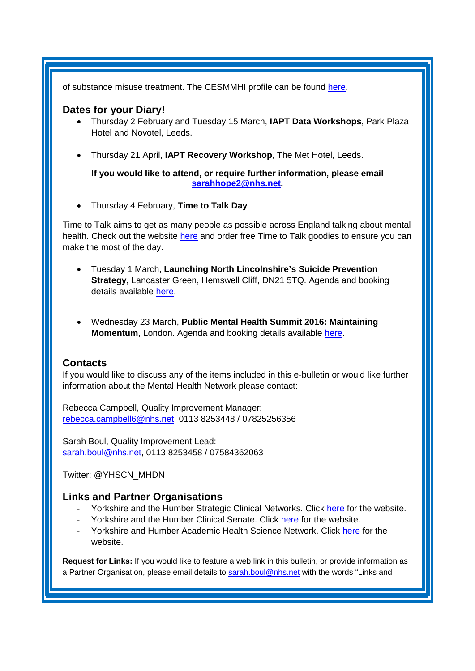of substance misuse treatment. The CESMMHI profile can be found [here.](http://fingertips.phe.org.uk/profile-group/mental-health/profile/drugsandmentalhealth)

#### <span id="page-4-0"></span>**Dates for your Diary!**

- Thursday 2 February and Tuesday 15 March, **IAPT Data Workshops**, Park Plaza Hotel and Novotel, Leeds.
- Thursday 21 April, **IAPT Recovery Workshop**, The Met Hotel, Leeds.

**If you would like to attend, or require further information, please email [sarahhope2@nhs.net.](mailto:sarahhope2@nhs.net)**

• Thursday 4 February, **Time to Talk Day** 

Time to Talk aims to get as many people as possible across England talking about mental health. Check out the website [here](http://www.time-to-change.org.uk/timetotalkday) and order free Time to Talk goodies to ensure you can make the most of the day.

- Tuesday 1 March, **Launching North Lincolnshire's Suicide Prevention Strategy**, Lancaster Green, Hemswell Cliff, DN21 5TQ. Agenda and booking details available [here.](https://www.phe-events.org.uk/hpa/frontend/reg/thome.csp?pageID=220954&eventID=568&eventID=568&CSPCHD=008002240000iQQPLdMnWtDVyeQv1ShkI6tiNN$vjvNNjZvLiv)
- Wednesday 23 March, **Public Mental Health Summit 2016: Maintaining Momentum**, London. Agenda and booking details available [here.](https://www.phe-events.org.uk/hpa/frontend/reg/thome.csp?pageID=220954&eventID=568&eventID=568&CSPCHD=008002240000iQQPLdMnWtDVyeQv1ShkI6tiNN$vjvNNjZvLiv)

#### **Contacts**

If you would like to discuss any of the items included in this e-bulletin or would like further information about the Mental Health Network please contact:

Rebecca Campbell, Quality Improvement Manager: [rebecca.campbell6@nhs.net,](mailto:rebecca.campbell6@nhs.net) 0113 8253448 / 07825256356

Sarah Boul, Quality Improvement Lead: [sarah.boul@nhs.net,](mailto:sarah.boul@nhs.net) 0113 8253458 / 07584362063

Twitter: @YHSCN\_MHDN

## <span id="page-4-1"></span>**Links and Partner Organisations**

- Yorkshire and the Humber Strategic Clinical Networks. Click [here](http://www.yhscn.nhs.uk/index.php) for the website.
- Yorkshire and the Humber Clinical Senate. Click [here](http://www.yhsenate.nhs.uk/index.php) for the website.
- Yorkshire and Humber Academic Health Science Network. Click [here](http://www.yhahsn.org.uk/) for the website.

**Request for Links:** If you would like to feature a web link in this bulletin, or provide information as a Partner Organisation, please email details to [sarah.boul@nhs.net](mailto:sarah.boul@nhs.net) with the words "Links and